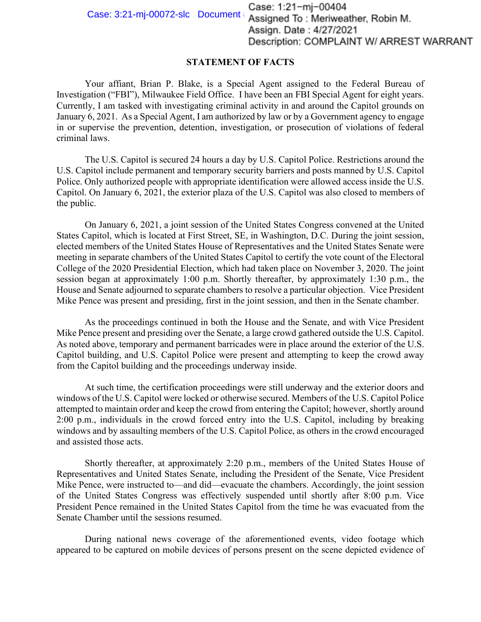Case: 1:21-mj-00404<br>Case: 3:21-mj-00072-slc Document: Assigned To: Meriweather, Robin M. Assign. Date: 4/27/2021 Description: COMPLAINT W/ ARREST WARRANT

## **STATEMENT OF FACTS**

Your affiant, Brian P. Blake, is a Special Agent assigned to the Federal Bureau of Investigation ("FBI"), Milwaukee Field Office. I have been an FBI Special Agent for eight years. Currently, I am tasked with investigating criminal activity in and around the Capitol grounds on January 6, 2021. As a Special Agent, I am authorized by law or by a Government agency to engage in or supervise the prevention, detention, investigation, or prosecution of violations of federal criminal laws.

The U.S. Capitol is secured 24 hours a day by U.S. Capitol Police. Restrictions around the U.S. Capitol include permanent and temporary security barriers and posts manned by U.S. Capitol Police. Only authorized people with appropriate identification were allowed access inside the U.S. Capitol. On January 6, 2021, the exterior plaza of the U.S. Capitol was also closed to members of the public.

On January 6, 2021, a joint session of the United States Congress convened at the United States Capitol, which is located at First Street, SE, in Washington, D.C. During the joint session, elected members of the United States House of Representatives and the United States Senate were meeting in separate chambers of the United States Capitol to certify the vote count of the Electoral College of the 2020 Presidential Election, which had taken place on November 3, 2020. The joint session began at approximately 1:00 p.m. Shortly thereafter, by approximately 1:30 p.m., the House and Senate adjourned to separate chambers to resolve a particular objection. Vice President Mike Pence was present and presiding, first in the joint session, and then in the Senate chamber.

As the proceedings continued in both the House and the Senate, and with Vice President Mike Pence present and presiding over the Senate, a large crowd gathered outside the U.S. Capitol. As noted above, temporary and permanent barricades were in place around the exterior of the U.S. Capitol building, and U.S. Capitol Police were present and attempting to keep the crowd away from the Capitol building and the proceedings underway inside.

At such time, the certification proceedings were still underway and the exterior doors and windows of the U.S. Capitol were locked or otherwise secured. Members of the U.S. Capitol Police attempted to maintain order and keep the crowd from entering the Capitol; however, shortly around 2:00 p.m., individuals in the crowd forced entry into the U.S. Capitol, including by breaking windows and by assaulting members of the U.S. Capitol Police, as others in the crowd encouraged and assisted those acts.

Shortly thereafter, at approximately 2:20 p.m., members of the United States House of Representatives and United States Senate, including the President of the Senate, Vice President Mike Pence, were instructed to—and did—evacuate the chambers. Accordingly, the joint session of the United States Congress was effectively suspended until shortly after 8:00 p.m. Vice President Pence remained in the United States Capitol from the time he was evacuated from the Senate Chamber until the sessions resumed.

During national news coverage of the aforementioned events, video footage which appeared to be captured on mobile devices of persons present on the scene depicted evidence of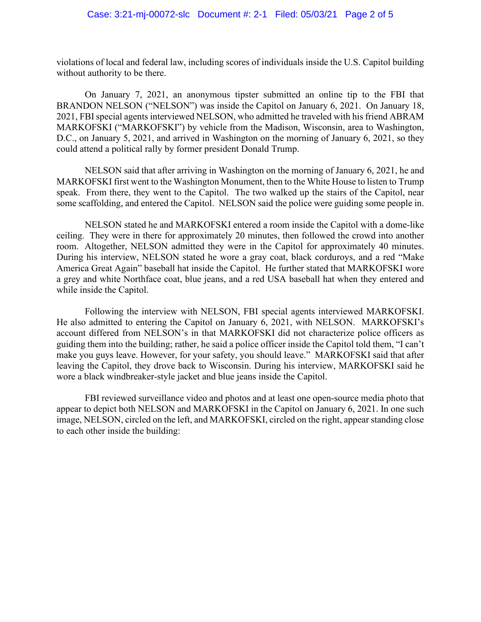violations of local and federal law, including scores of individuals inside the U.S. Capitol building without authority to be there.

On January 7, 2021, an anonymous tipster submitted an online tip to the FBI that BRANDON NELSON ("NELSON") was inside the Capitol on January 6, 2021. On January 18, 2021, FBI special agents interviewed NELSON, who admitted he traveled with his friend ABRAM MARKOFSKI ("MARKOFSKI") by vehicle from the Madison, Wisconsin, area to Washington, D.C., on January 5, 2021, and arrived in Washington on the morning of January 6, 2021, so they could attend a political rally by former president Donald Trump.

NELSON said that after arriving in Washington on the morning of January 6, 2021, he and MARKOFSKI first went to the Washington Monument, then to the White House to listen to Trump speak. From there, they went to the Capitol. The two walked up the stairs of the Capitol, near some scaffolding, and entered the Capitol. NELSON said the police were guiding some people in.

NELSON stated he and MARKOFSKI entered a room inside the Capitol with a dome-like ceiling. They were in there for approximately 20 minutes, then followed the crowd into another room. Altogether, NELSON admitted they were in the Capitol for approximately 40 minutes. During his interview, NELSON stated he wore a gray coat, black corduroys, and a red "Make America Great Again" baseball hat inside the Capitol. He further stated that MARKOFSKI wore a grey and white Northface coat, blue jeans, and a red USA baseball hat when they entered and while inside the Capitol.

Following the interview with NELSON, FBI special agents interviewed MARKOFSKI. He also admitted to entering the Capitol on January 6, 2021, with NELSON. MARKOFSKI's account differed from NELSON's in that MARKOFSKI did not characterize police officers as guiding them into the building; rather, he said a police officer inside the Capitol told them, "I can't make you guys leave. However, for your safety, you should leave." MARKOFSKI said that after leaving the Capitol, they drove back to Wisconsin. During his interview, MARKOFSKI said he wore a black windbreaker-style jacket and blue jeans inside the Capitol.

FBI reviewed surveillance video and photos and at least one open-source media photo that appear to depict both NELSON and MARKOFSKI in the Capitol on January 6, 2021. In one such image, NELSON, circled on the left, and MARKOFSKI, circled on the right, appear standing close to each other inside the building: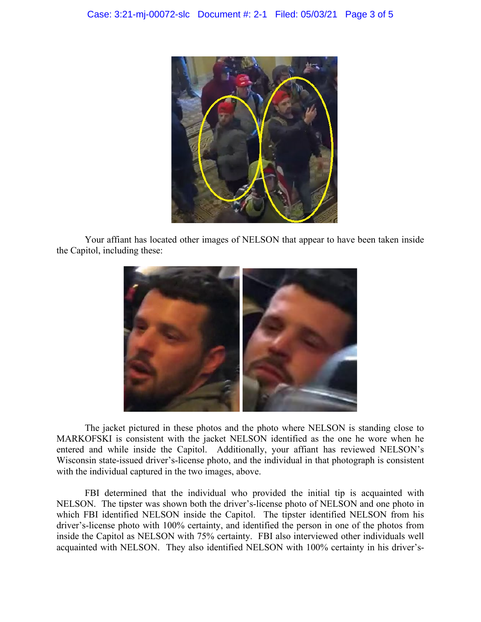

Your affiant has located other images of NELSON that appear to have been taken inside the Capitol, including these:



The jacket pictured in these photos and the photo where NELSON is standing close to MARKOFSKI is consistent with the jacket NELSON identified as the one he wore when he entered and while inside the Capitol. Additionally, your affiant has reviewed NELSON's Wisconsin state-issued driver's-license photo, and the individual in that photograph is consistent with the individual captured in the two images, above.

FBI determined that the individual who provided the initial tip is acquainted with NELSON. The tipster was shown both the driver's-license photo of NELSON and one photo in which FBI identified NELSON inside the Capitol. The tipster identified NELSON from his driver's-license photo with 100% certainty, and identified the person in one of the photos from inside the Capitol as NELSON with 75% certainty. FBI also interviewed other individuals well acquainted with NELSON. They also identified NELSON with 100% certainty in his driver's-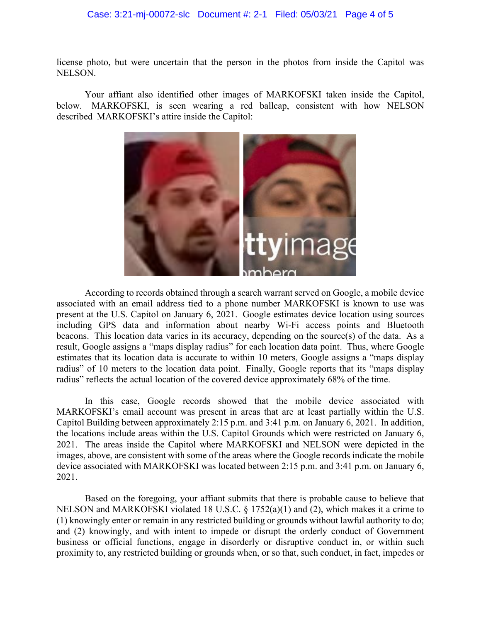## Case: 3:21-mj-00072-slc Document #: 2-1 Filed: 05/03/21 Page 4 of 5

license photo, but were uncertain that the person in the photos from inside the Capitol was NELSON.

Your affiant also identified other images of MARKOFSKI taken inside the Capitol, below. MARKOFSKI, is seen wearing a red ballcap, consistent with how NELSON described MARKOFSKI's attire inside the Capitol:



According to records obtained through a search warrant served on Google, a mobile device associated with an email address tied to a phone number MARKOFSKI is known to use was present at the U.S. Capitol on January 6, 2021. Google estimates device location using sources including GPS data and information about nearby Wi-Fi access points and Bluetooth beacons. This location data varies in its accuracy, depending on the source(s) of the data. As a result, Google assigns a "maps display radius" for each location data point. Thus, where Google estimates that its location data is accurate to within 10 meters, Google assigns a "maps display radius" of 10 meters to the location data point. Finally, Google reports that its "maps display radius" reflects the actual location of the covered device approximately 68% of the time.

In this case, Google records showed that the mobile device associated with MARKOFSKI's email account was present in areas that are at least partially within the U.S. Capitol Building between approximately 2:15 p.m. and 3:41 p.m. on January 6, 2021. In addition, the locations include areas within the U.S. Capitol Grounds which were restricted on January 6, 2021. The areas inside the Capitol where MARKOFSKI and NELSON were depicted in the images, above, are consistent with some of the areas where the Google records indicate the mobile device associated with MARKOFSKI was located between 2:15 p.m. and 3:41 p.m. on January 6, 2021.

Based on the foregoing, your affiant submits that there is probable cause to believe that NELSON and MARKOFSKI violated 18 U.S.C. § 1752(a)(1) and (2), which makes it a crime to (1) knowingly enter or remain in any restricted building or grounds without lawful authority to do; and (2) knowingly, and with intent to impede or disrupt the orderly conduct of Government business or official functions, engage in disorderly or disruptive conduct in, or within such proximity to, any restricted building or grounds when, or so that, such conduct, in fact, impedes or